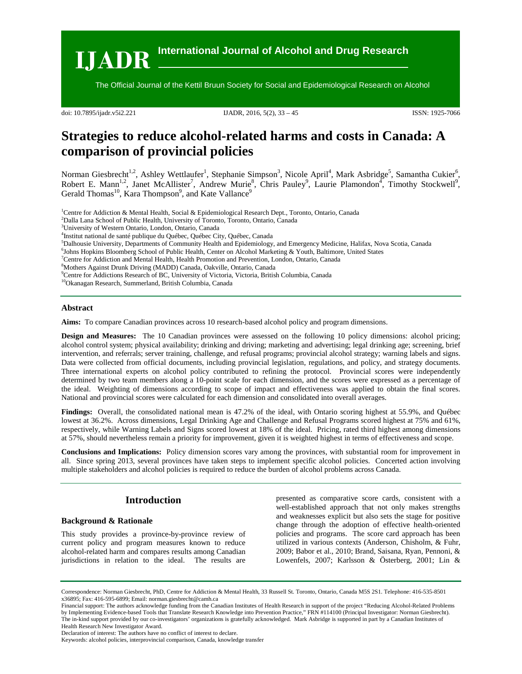**IJADR International Journal of Alcohol and Drug Research**

The Official Journal of the Kettil Bruun Society for Social and Epidemiological Research on Alcohol

doi: 10.7895/ijadr.v5i2.221 IJADR, 2016, 5(2), 33 – 45 ISSN: 1925-7066

# **Strategies to reduce alcohol-related harms and costs in Canada: A comparison of provincial policies**

Norman Giesbrecht<sup>1,2</sup>, Ashley Wettlaufer<sup>1</sup>, Stephanie Simpson<sup>3</sup>, Nicole April<sup>4</sup>, Mark Asbridge<sup>5</sup>, Samantha Cukier<sup>6</sup>, Robert E. Mann<sup>1,2</sup>, Janet McAllister<sup>7</sup>, Andrew Murie<sup>8</sup>, Chris Pauley<sup>9</sup>, Laurie Plamondon<sup>4</sup>, Timothy Stockwell<sup>9</sup>, Gerald Thomas<sup>10</sup>, Kara Thompson<sup>9</sup>, and Kate Vallance<sup>9</sup>

1 Centre for Addiction & Mental Health, Social & Epidemiological Research Dept., Toronto, Ontario, Canada

- <sup>2</sup>Dalla Lana School of Public Health, University of Toronto, Toronto, Ontario, Canada<br><sup>3</sup>University of Western Ontario, London, Ontario, Canada
- University of Western Ontario, London, Ontario, Canada
- 4 Institut national de santé publique du Québec, Québec City, Québec, Canada
- ${}^{5}$ Dalhousie University, Departments of Community Health and Epidemiology, and Emergency Medicine, Halifax, Nova Scotia, Canada  ${}^{6}$ Lohne Hopking Ploombarg School of Dublie Hoalth Canter on Algohal Merketing & Youth
- <sup>6</sup>Johns Hopkins Bloomberg School of Public Health, Center on Alcohol Marketing & Youth, Baltimore, United States

<sup>7</sup> Centre for Addiction and Mental Health, Health Promotion and Prevention, London, Ontario, Canada

8 Mothers Against Drunk Driving (MADD) Canada, Oakville, Ontario, Canada

9 Centre for Addictions Research of BC, University of Victoria, Victoria, British Columbia, Canada

10Okanagan Research, Summerland, British Columbia, Canada

## **Abstract**

**Aims:** To compare Canadian provinces across 10 research-based alcohol policy and program dimensions.

**Design and Measures:** The 10 Canadian provinces were assessed on the following 10 policy dimensions: alcohol pricing; alcohol control system; physical availability; drinking and driving; marketing and advertising; legal drinking age; screening, brief intervention, and referrals; server training, challenge, and refusal programs; provincial alcohol strategy; warning labels and signs. Data were collected from official documents, including provincial legislation, regulations, and policy, and strategy documents. Three international experts on alcohol policy contributed to refining the protocol. Provincial scores were independently determined by two team members along a 10-point scale for each dimension, and the scores were expressed as a percentage of the ideal. Weighting of dimensions according to scope of impact and effectiveness was applied to obtain the final scores. National and provincial scores were calculated for each dimension and consolidated into overall averages.

**Findings:** Overall, the consolidated national mean is 47.2% of the ideal, with Ontario scoring highest at 55.9%, and Québec lowest at 36.2%. Across dimensions, Legal Drinking Age and Challenge and Refusal Programs scored highest at 75% and 61%, respectively, while Warning Labels and Signs scored lowest at 18% of the ideal. Pricing, rated third highest among dimensions at 57%, should nevertheless remain a priority for improvement, given it is weighted highest in terms of effectiveness and scope.

**Conclusions and Implications:** Policy dimension scores vary among the provinces, with substantial room for improvement in all. Since spring 2013, several provinces have taken steps to implement specific alcohol policies. Concerted action involving multiple stakeholders and alcohol policies is required to reduce the burden of alcohol problems across Canada.

# **Introduction**

# **Background & Rationale**

This study provides a province-by-province review of current policy and program measures known to reduce alcohol-related harm and compares results among Canadian jurisdictions in relation to the ideal. The results are

presented as comparative score cards, consistent with a well-established approach that not only makes strengths and weaknesses explicit but also sets the stage for positive change through the adoption of effective health-oriented policies and programs. The score card approach has been utilized in various contexts (Anderson, Chisholm, & Fuhr, 2009; Babor et al., 2010; Brand, Saisana, Ryan, Pennoni, & Lowenfels, 2007; Karlsson & Österberg, 2001; Lin &

Correspondence: Norman Giesbrecht, PhD, Centre for Addiction & Mental Health, 33 Russell St. Toronto, Ontario, Canada M5S 2S1. Telephone: 416-535-8501 x36895; Fax: 416-595-6899; Email: norman.giesbrecht@camh.ca

Financial support: The authors acknowledge funding from the Canadian Institutes of Health Research in support of the project "Reducing Alcohol-Related Problems by Implementing Evidence-based Tools that Translate Research Knowledge into Prevention Practice," FRN #114100 (Principal Investigator: Norman Giesbrecht). The in-kind support provided by our co-investigators' organizations is gratefully acknowledged. Mark Asbridge is supported in part by a Canadian Institutes of Health Research New Investigator Award.

Declaration of interest: The authors have no conflict of interest to declare.

Keywords: alcohol policies, interprovincial comparison, Canada, knowledge transfer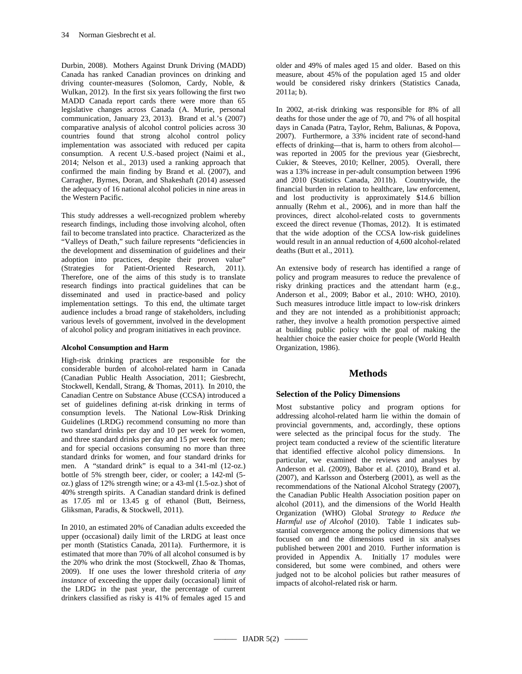Durbin, 2008). Mothers Against Drunk Driving (MADD) Canada has ranked Canadian provinces on drinking and driving counter-measures (Solomon, Cardy, Noble, & Wulkan, 2012). In the first six years following the first two MADD Canada report cards there were more than 65 legislative changes across Canada (A. Murie, personal communication, January 23, 2013). Brand et al.'s (2007) comparative analysis of alcohol control policies across 30 countries found that strong alcohol control policy implementation was associated with reduced per capita consumption. A recent U.S.-based project (Naimi et al., 2014; Nelson et al., 2013) used a ranking approach that confirmed the main finding by Brand et al. (2007), and Carragher, Byrnes, Doran, and Shakeshaft (2014) assessed the adequacy of 16 national alcohol policies in nine areas in the Western Pacific.

This study addresses a well-recognized problem whereby research findings, including those involving alcohol, often fail to become translated into practice. Characterized as the "Valleys of Death," such failure represents "deficiencies in the development and dissemination of guidelines and their adoption into practices, despite their proven value" (Strategies for Patient-Oriented Research, 2011). Therefore, one of the aims of this study is to translate research findings into practical guidelines that can be disseminated and used in practice-based and policy implementation settings. To this end, the ultimate target audience includes a broad range of stakeholders, including various levels of government, involved in the development of alcohol policy and program initiatives in each province.

# **Alcohol Consumption and Harm**

High-risk drinking practices are responsible for the considerable burden of alcohol-related harm in Canada (Canadian Public Health Association, 2011; Giesbrecht, Stockwell, Kendall, Strang, & Thomas, 2011). In 2010, the Canadian Centre on Substance Abuse (CCSA) introduced a set of guidelines defining at-risk drinking in terms of consumption levels. The National Low-Risk Drinking Guidelines (LRDG) recommend consuming no more than two standard drinks per day and 10 per week for women, and three standard drinks per day and 15 per week for men; and for special occasions consuming no more than three standard drinks for women, and four standard drinks for men. A "standard drink" is equal to a 341-ml (12-oz.) bottle of 5% strength beer, cider, or cooler; a 142-ml (5 oz.) glass of 12% strength wine; or a 43-ml (1.5-oz.) shot of 40% strength spirits. A Canadian standard drink is defined as 17.05 ml or 13.45 g of ethanol (Butt, Beirness, Gliksman, Paradis, & Stockwell, 2011).

In 2010, an estimated 20% of Canadian adults exceeded the upper (occasional) daily limit of the LRDG at least once per month (Statistics Canada, 2011a). Furthermore, it is estimated that more than 70% of all alcohol consumed is by the 20% who drink the most (Stockwell, Zhao & Thomas, 2009). If one uses the lower threshold criteria of *any instance* of exceeding the upper daily (occasional) limit of the LRDG in the past year, the percentage of current drinkers classified as risky is 41% of females aged 15 and

older and 49% of males aged 15 and older. Based on this measure, about 45% of the population aged 15 and older would be considered risky drinkers (Statistics Canada, 2011a; b).

In 2002, at-risk drinking was responsible for 8% of all deaths for those under the age of 70, and 7% of all hospital days in Canada (Patra, Taylor, Rehm, Baliunas, & Popova, 2007). Furthermore, a 33% incident rate of second-hand effects of drinking—that is, harm to others from alcohol was reported in 2005 for the previous year (Giesbrecht, Cukier, & Steeves, 2010; Kellner, 2005). Overall, there was a 13% increase in per-adult consumption between 1996 and 2010 (Statistics Canada, 2011b). Countrywide, the financial burden in relation to healthcare, law enforcement, and lost productivity is approximately \$14.6 billion annually (Rehm et al., 2006), and in more than half the provinces, direct alcohol-related costs to governments exceed the direct revenue (Thomas, 2012). It is estimated that the wide adoption of the CCSA low-risk guidelines would result in an annual reduction of 4,600 alcohol-related deaths (Butt et al., 2011).

An extensive body of research has identified a range of policy and program measures to reduce the prevalence of risky drinking practices and the attendant harm (e.g., Anderson et al., 2009; Babor et al., 2010: WHO, 2010). Such measures introduce little impact to low-risk drinkers and they are not intended as a prohibitionist approach; rather, they involve a health promotion perspective aimed at building public policy with the goal of making the healthier choice the easier choice for people (World Health Organization, 1986).

# **Methods**

# **Selection of the Policy Dimensions**

Most substantive policy and program options for addressing alcohol-related harm lie within the domain of provincial governments, and, accordingly, these options were selected as the principal focus for the study. The project team conducted a review of the scientific literature that identified effective alcohol policy dimensions. In particular, we examined the reviews and analyses by Anderson et al. (2009), Babor et al. (2010), Brand et al. (2007), and Karlsson and Österberg (2001), as well as the recommendations of the National Alcohol Strategy (2007), the Canadian Public Health Association position paper on alcohol (2011), and the dimensions of the World Health Organization (WHO) Global *Strategy to Reduce the Harmful use of Alcohol* (2010). Table 1 indicates substantial convergence among the policy dimensions that we focused on and the dimensions used in six analyses published between 2001 and 2010. Further information is provided in Appendix A. Initially 17 modules were considered, but some were combined, and others were judged not to be alcohol policies but rather measures of impacts of alcohol-related risk or harm.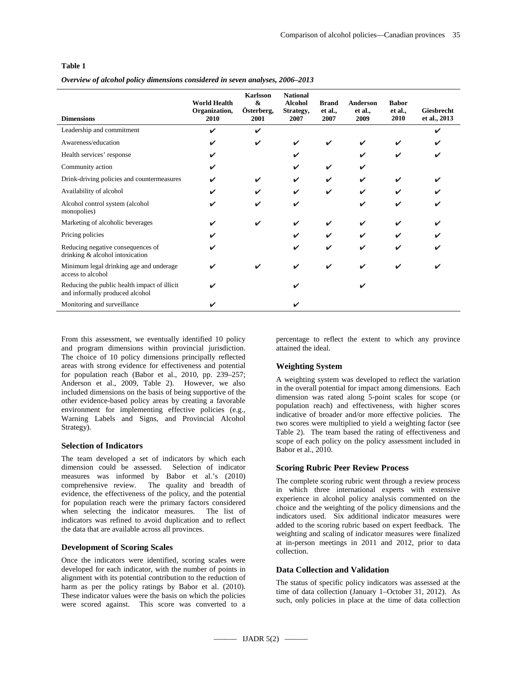# **Table 1**

*Overview of alcohol policy dimensions considered in seven analyses, 2006–2013*

| <b>Dimensions</b>                                                               | <b>World Health</b><br>Organization,<br>2010 | <b>Karlsson</b><br>$\boldsymbol{\&}$<br>Österberg,<br>2001 | <b>National</b><br><b>Alcohol</b><br>Strategy,<br>2007 | <b>Brand</b><br>et al.,<br>2007 | <b>Anderson</b><br>et al.,<br>2009 | <b>Babor</b><br>et al.,<br>2010 | <b>Giesbrecht</b><br>et al., 2013 |
|---------------------------------------------------------------------------------|----------------------------------------------|------------------------------------------------------------|--------------------------------------------------------|---------------------------------|------------------------------------|---------------------------------|-----------------------------------|
| Leadership and commitment                                                       | ✓                                            | ✔                                                          |                                                        |                                 |                                    |                                 |                                   |
| Awareness/education                                                             | ✓                                            | ✔                                                          |                                                        |                                 |                                    |                                 |                                   |
| Health services' response                                                       |                                              |                                                            |                                                        |                                 |                                    |                                 |                                   |
| Community action                                                                | ✓                                            |                                                            |                                                        |                                 | ✔                                  |                                 |                                   |
| Drink-driving policies and countermeasures                                      | ✔                                            |                                                            |                                                        |                                 | ✓                                  |                                 |                                   |
| Availability of alcohol                                                         |                                              |                                                            |                                                        | ✓                               | ✓                                  |                                 |                                   |
| Alcohol control system (alcohol<br>monopolies)                                  | ✓                                            | ✔                                                          |                                                        |                                 | ✔                                  | ✓                               |                                   |
| Marketing of alcoholic beverages                                                |                                              |                                                            |                                                        |                                 |                                    |                                 |                                   |
| Pricing policies                                                                |                                              |                                                            |                                                        |                                 |                                    |                                 |                                   |
| Reducing negative consequences of<br>drinking & alcohol intoxication            |                                              |                                                            |                                                        | ✔                               | ✓                                  |                                 |                                   |
| Minimum legal drinking age and underage<br>access to alcohol                    |                                              |                                                            |                                                        | ✔                               | V                                  |                                 |                                   |
| Reducing the public health impact of illicit<br>and informally produced alcohol | ✔                                            |                                                            |                                                        |                                 |                                    |                                 |                                   |
| Monitoring and surveillance                                                     |                                              |                                                            |                                                        |                                 |                                    |                                 |                                   |

From this assessment, we eventually identified 10 policy and program dimensions within provincial jurisdiction. The choice of 10 policy dimensions principally reflected areas with strong evidence for effectiveness and potential for population reach (Babor et al., 2010, pp. 239–257; Anderson et al., 2009, Table 2). However, we also included dimensions on the basis of being supportive of the other evidence-based policy areas by creating a favorable environment for implementing effective policies (e.g., Warning Labels and Signs, and Provincial Alcohol Strategy).

# **Selection of Indicators**

The team developed a set of indicators by which each dimension could be assessed. Selection of indicator measures was informed by Babor et al.'s (2010) comprehensive review. The quality and breadth of evidence, the effectiveness of the policy, and the potential for population reach were the primary factors considered when selecting the indicator measures. The list of indicators was refined to avoid duplication and to reflect the data that are available across all provinces.

# **Development of Scoring Scales**

Once the indicators were identified, scoring scales were developed for each indicator, with the number of points in alignment with its potential contribution to the reduction of harm as per the policy ratings by Babor et al. (2010). These indicator values were the basis on which the policies were scored against. This score was converted to a

percentage to reflect the extent to which any province attained the ideal.

# **Weighting System**

A weighting system was developed to reflect the variation in the overall potential for impact among dimensions. Each dimension was rated along 5-point scales for scope (or population reach) and effectiveness, with higher scores indicative of broader and/or more effective policies. The two scores were multiplied to yield a weighting factor (see Table 2). The team based the rating of effectiveness and scope of each policy on the policy assessment included in Babor et al., 2010.

# **Scoring Rubric Peer Review Process**

The complete scoring rubric went through a review process in which three international experts with extensive experience in alcohol policy analysis commented on the choice and the weighting of the policy dimensions and the indicators used. Six additional indicator measures were added to the scoring rubric based on expert feedback. The weighting and scaling of indicator measures were finalized at in-person meetings in 2011 and 2012, prior to data collection.

# **Data Collection and Validation**

The status of specific policy indicators was assessed at the time of data collection (January 1–October 31, 2012). As such, only policies in place at the time of data collection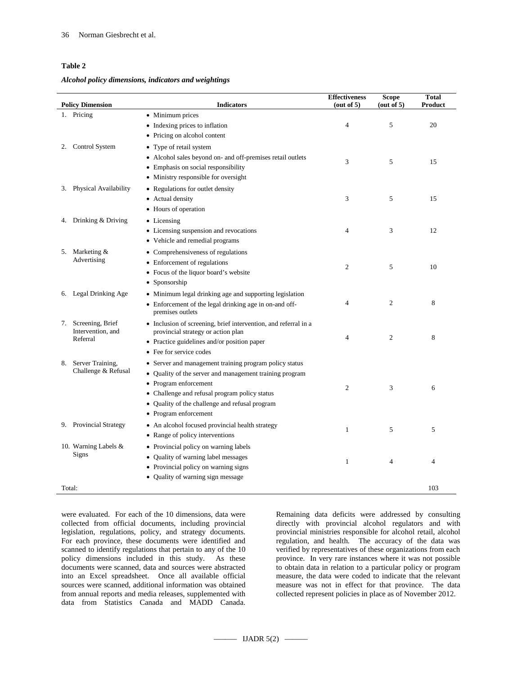# **Table 2**

*Alcohol policy dimensions, indicators and weightings* 

|    | <b>Policy Dimension</b>                 | <b>Indicators</b>                                                                | <b>Effectiveness</b><br>(out of 5) | Scope<br>(out of 5) | Total<br>Product |
|----|-----------------------------------------|----------------------------------------------------------------------------------|------------------------------------|---------------------|------------------|
|    | 1. Pricing                              | • Minimum prices                                                                 |                                    |                     |                  |
|    |                                         | • Indexing prices to inflation                                                   | $\overline{4}$                     | 5                   | 20               |
|    |                                         | • Pricing on alcohol content                                                     |                                    |                     |                  |
| 2. | Control System                          | • Type of retail system                                                          |                                    |                     |                  |
|    |                                         | • Alcohol sales beyond on- and off-premises retail outlets                       |                                    |                     |                  |
|    |                                         | • Emphasis on social responsibility                                              | 3                                  | 5                   | 15               |
|    |                                         | • Ministry responsible for oversight                                             |                                    |                     |                  |
| 3. | Physical Availability                   | • Regulations for outlet density                                                 |                                    |                     |                  |
|    |                                         | • Actual density                                                                 | 3                                  | 5                   | 15               |
|    |                                         | • Hours of operation                                                             |                                    |                     |                  |
|    | 4. Drinking & Driving                   | • Licensing                                                                      |                                    |                     |                  |
|    |                                         | • Licensing suspension and revocations                                           | $\overline{4}$                     | 3                   | 12               |
|    |                                         | • Vehicle and remedial programs                                                  |                                    |                     |                  |
| 5. | Marketing &                             | • Comprehensiveness of regulations                                               |                                    |                     |                  |
|    | Advertising                             | • Enforcement of regulations                                                     |                                    |                     |                  |
|    |                                         | • Focus of the liquor board's website                                            | $\mathbf{2}$                       | 5                   | 10               |
|    |                                         | • Sponsorship                                                                    |                                    |                     |                  |
|    | 6. Legal Drinking Age                   | • Minimum legal drinking age and supporting legislation                          |                                    |                     |                  |
|    |                                         | • Enforcement of the legal drinking age in on-and off-                           | 4                                  | $\overline{c}$      | 8                |
|    |                                         | premises outlets                                                                 |                                    |                     |                  |
|    | 7. Screening, Brief                     | • Inclusion of screening, brief intervention, and referral in a                  |                                    |                     |                  |
|    | Intervention, and<br>Referral           | provincial strategy or action plan                                               | $\overline{4}$                     | 2                   | 8                |
|    |                                         | • Practice guidelines and/or position paper<br>• Fee for service codes           |                                    |                     |                  |
|    |                                         |                                                                                  |                                    |                     |                  |
| 8. | Server Training,<br>Challenge & Refusal | • Server and management training program policy status                           |                                    |                     |                  |
|    |                                         | • Quality of the server and management training program<br>• Program enforcement |                                    |                     |                  |
|    |                                         | • Challenge and refusal program policy status                                    | 2                                  | 3                   | 6                |
|    |                                         | • Quality of the challenge and refusal program                                   |                                    |                     |                  |
|    |                                         | • Program enforcement                                                            |                                    |                     |                  |
|    | 9. Provincial Strategy                  | • An alcohol focused provincial health strategy                                  |                                    |                     |                  |
|    |                                         | • Range of policy interventions                                                  | 1                                  | 5                   | 5                |
|    | 10. Warning Labels &                    | • Provincial policy on warning labels                                            |                                    |                     |                  |
|    | Signs                                   | • Quality of warning label messages                                              |                                    |                     |                  |
|    |                                         | • Provincial policy on warning signs                                             | 1                                  | 4                   | 4                |
|    |                                         | • Quality of warning sign message                                                |                                    |                     |                  |
|    | Total:                                  |                                                                                  |                                    |                     | 103              |

were evaluated. For each of the 10 dimensions, data were collected from official documents, including provincial legislation, regulations, policy, and strategy documents. For each province, these documents were identified and scanned to identify regulations that pertain to any of the 10 policy dimensions included in this study. As these documents were scanned, data and sources were abstracted into an Excel spreadsheet. Once all available official sources were scanned, additional information was obtained from annual reports and media releases, supplemented with data from Statistics Canada and MADD Canada.

Remaining data deficits were addressed by consulting directly with provincial alcohol regulators and with provincial ministries responsible for alcohol retail, alcohol regulation, and health. The accuracy of the data was verified by representatives of these organizations from each province. In very rare instances where it was not possible to obtain data in relation to a particular policy or program measure, the data were coded to indicate that the relevant measure was not in effect for that province. The data collected represent policies in place as of November 2012.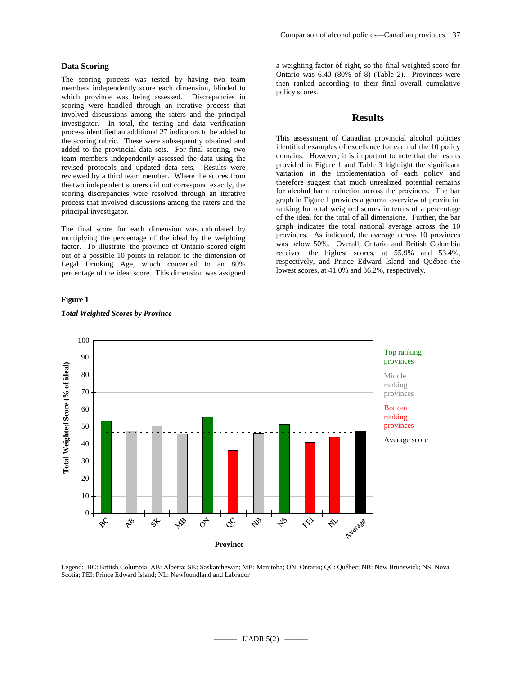# **Data Scoring**

The scoring process was tested by having two team members independently score each dimension, blinded to which province was being assessed. Discrepancies in scoring were handled through an iterative process that involved discussions among the raters and the principal investigator. In total, the testing and data verification process identified an additional 27 indicators to be added to the scoring rubric. These were subsequently obtained and added to the provincial data sets. For final scoring, two team members independently assessed the data using the revised protocols and updated data sets. Results were reviewed by a third team member. Where the scores from the two independent scorers did not correspond exactly, the scoring discrepancies were resolved through an iterative process that involved discussions among the raters and the principal investigator.

The final score for each dimension was calculated by multiplying the percentage of the ideal by the weighting factor. To illustrate, the province of Ontario scored eight out of a possible 10 points in relation to the dimension of Legal Drinking Age*,* which converted to an 80% percentage of the ideal score. This dimension was assigned

### **Figure 1**

# *Total Weighted Scores by Province*

a weighting factor of eight, so the final weighted score for Ontario was 6.40 (80% of 8) (Table 2). Provinces were then ranked according to their final overall cumulative policy scores.

# **Results**

This assessment of Canadian provincial alcohol policies identified examples of excellence for each of the 10 policy domains. However, it is important to note that the results provided in Figure 1 and Table 3 highlight the significant variation in the implementation of each policy and therefore suggest that much unrealized potential remains for alcohol harm reduction across the provinces. The bar graph in Figure 1 provides a general overview of provincial ranking for total weighted scores in terms of a percentage of the ideal for the total of all dimensions. Further, the bar graph indicates the total national average across the 10 provinces. As indicated, the average across 10 provinces was below 50%. Overall, Ontario and British Columbia received the highest scores, at 55.9% and 53.4%, respectively, and Prince Edward Island and Québec the lowest scores, at 41.0% and 36.2%, respectively.



Legend: BC: British Columbia; AB: Alberta; SK: Saskatchewan; MB: Manitoba; ON: Ontario; QC: Québec; NB: New Brunswick; NS: Nova Scotia; PEI: Prince Edward Island; NL: Newfoundland and Labrador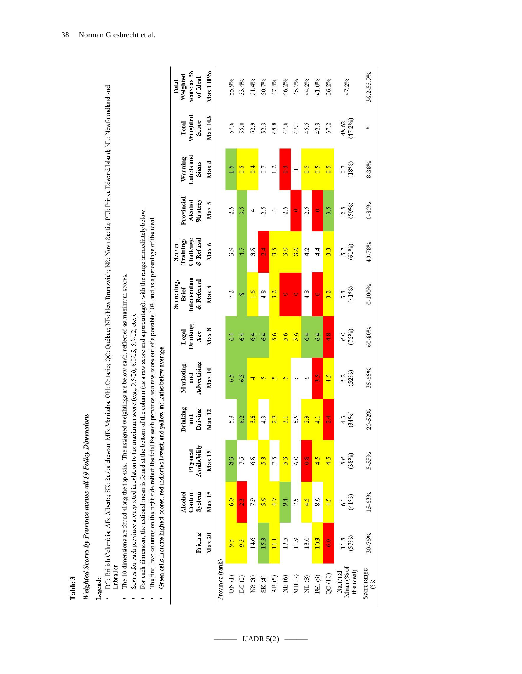Table 3

# Weighted Scores by Province across all 10 Policy Dimensions

# Legend:

- BC: British Columbia; AB: Alberta; SK: Saskatchewan; MB: Manitoba; ON: Ontario; QC: Québec; NB: New Brunswick; NS: Nova Scotia; PEI: Prince Edward Island; NL: Newfoundland and Labrador l,
	- The 10 dimensions are found along the top axis. The assigned weightings are below each, reflected as maximum scores.
		- Scores for each province are reported in relation to the maximum score (e.g., 9.5/20; 6.0/15; 5.9/12, etc.).
- For each dimension, the national mean is found at the bottom of the column (as a raw score and a percentage), with the range immediately below. t,
	- The final two columns on the right side reflect the total for each province as a raw score out of a possible 103, and as a percentage of the ideal. l,
		- Green cells indicate highest scores, red indicates lowest, and yellow indicates below average. i,

|                                      |                   | Alcohol<br>Control<br>System |                          | Drinking<br>and     | Marketing<br>and | Legal<br>Drinking | Intervention<br>Screening,<br>Brief | Challenge<br>Training<br>Server | Provincial<br>Alcohol | Warning<br>Labels and | Total             | Weighted<br>Score as %<br>Total |
|--------------------------------------|-------------------|------------------------------|--------------------------|---------------------|------------------|-------------------|-------------------------------------|---------------------------------|-----------------------|-----------------------|-------------------|---------------------------------|
|                                      | Pricing           |                              | Physical<br>Availability | Driving             | Advertising      | Age               | & Referral                          | & Refusal                       | Strategy              | Signs                 | Weighted<br>Score | of Ideal                        |
|                                      | Max <sub>20</sub> | Max 15                       | Max <sub>15</sub>        | <b>Max</b> 12       | Max10            | Max <sub>8</sub>  | Max 8                               | Max 6                           | Max <sub>5</sub>      | Max 4                 | Max103            | Мах 100%                        |
| Province (rank)                      |                   |                              |                          |                     |                  |                   |                                     |                                 |                       |                       |                   |                                 |
| ON(1)                                | 9.5               | 60                           | 83                       | 5.9                 | 6.5              | 6.4               | 7.2                                 | 3.9                             | 2.5                   | $\frac{1}{2}$         | 57.6              | 55.9%                           |
| BC(2)                                | 9.5               | $\frac{3}{2}$                | 7.5                      | 6.2                 | 6.5              | 64                |                                     | 4.7                             | 3.5                   | $\frac{5}{2}$         | 55.0              | 53.4%                           |
| NS(3)                                | 14.6              | 7.9                          | 6.8                      | 3.6                 |                  | 6.4               | $\frac{6}{1}$                       | 3.8                             |                       | 0.4                   | 52.9              | 51.4%                           |
| SK(4)                                | 15.3              | 5.6                          | 5.3                      | 4.3                 |                  | 6.4               | 4.8                                 | $\frac{4}{10}$                  | 2.5                   | 0.7                   | 52.3              | 50.7%                           |
| AB $(5)$                             | $\overline{11}$   | 4.9                          | 7.5                      | 2.9                 |                  | 5.6               | 3.2                                 | 3.5                             |                       | 1.2                   | 48.8              | 47.4%                           |
| NB(6)                                | 13.5              | 9.4                          | 5.3                      | $\frac{1}{3}$       |                  | 5.6               |                                     | 3.0                             | 2.5                   | $\frac{1}{2}$         | 47.6              | 46.2%                           |
| $\mathbf{MB}\left(7\right)$          | 11.9              | 7.5                          | 6.0                      | 5.5                 |                  | 5.6               | 0                                   | 3.6                             | $\bullet$             |                       | 47.1              | 45.7%                           |
| $\rm NL$ $(8)$                       | 13.0              | 4.5                          | $\frac{8}{2}$            | 2.9                 | ۰                | 6.4               | 4.8                                 | 4.2                             | 2.5                   | $\frac{5}{2}$         | 45.5              | 44.2%                           |
| PEI <sup>(9)</sup>                   | 10.3              | 8 <sub>6</sub>               | 4.5                      | $\frac{1}{4}$       | Š                | 6.4               | 0                                   | $\vec{4}$                       |                       | 0.5                   | 42.3              | 41.0%                           |
| QC(10)                               | $\overline{6.0}$  | 4.5                          | 4.5                      | $\frac{4}{24}$      | 4.5              | $\frac{8}{4}$     | 3.2                                 | 3.3                             | 3.5                   | 0.5                   | 37.2              | 36.2%                           |
| National<br>Mean (% of<br>the ideal) | $11.5$<br>$(57%)$ | $61$<br>(41%)                | $3.6$<br>$(38%)$         | $\frac{43}{(34\%)}$ | 5.2<br>(52%)     | (75%)<br>6.0      | (41%)<br>3.3                        | $\frac{3.7}{61%}$               | $(50\%)$              | (18%)                 | 48.62<br>(47.2%)  | 47.2%                           |
| Score range<br>$(96)$                | 30-76%            | 15-63%                       | 5-55%                    | $20 - 52%$          | $35 - 65%$       | 60-80%            | $0 - 100%$                          | 40-78%                          | $0 - 80%$             | 8-38%                 | ⋇                 | 36.2-55.9%                      |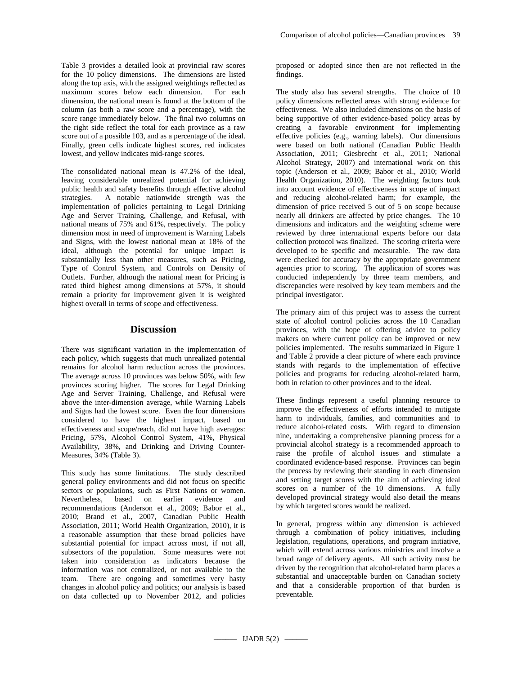Table 3 provides a detailed look at provincial raw scores for the 10 policy dimensions. The dimensions are listed along the top axis, with the assigned weightings reflected as maximum scores below each dimension. For each dimension, the national mean is found at the bottom of the column (as both a raw score and a percentage), with the score range immediately below. The final two columns on the right side reflect the total for each province as a raw score out of a possible 103, and as a percentage of the ideal. Finally, green cells indicate highest scores, red indicates lowest, and yellow indicates mid-range scores.

The consolidated national mean is 47.2% of the ideal, leaving considerable unrealized potential for achieving public health and safety benefits through effective alcohol strategies. A notable nationwide strength was the implementation of policies pertaining to Legal Drinking Age and Server Training, Challenge, and Refusal, with national means of 75% and 61%, respectively. The policy dimension most in need of improvement is Warning Labels and Signs, with the lowest national mean at 18% of the ideal, although the potential for unique impact is substantially less than other measures, such as Pricing, Type of Control System, and Controls on Density of Outlets. Further, although the national mean for Pricing is rated third highest among dimensions at 57%, it should remain a priority for improvement given it is weighted highest overall in terms of scope and effectiveness.

# **Discussion**

There was significant variation in the implementation of each policy, which suggests that much unrealized potential remains for alcohol harm reduction across the provinces. The average across 10 provinces was below 50%, with few provinces scoring higher. The scores for Legal Drinking Age and Server Training, Challenge, and Refusal were above the inter-dimension average, while Warning Labels and Signs had the lowest score. Even the four dimensions considered to have the highest impact, based on effectiveness and scope/reach, did not have high averages: Pricing, 57%, Alcohol Control System, 41%, Physical Availability, 38%, and Drinking and Driving Counter-Measures, 34% (Table 3).

This study has some limitations. The study described general policy environments and did not focus on specific sectors or populations, such as First Nations or women.<br>Nevertheless. based on earlier evidence and Nevertheless, based on earlier evidence recommendations (Anderson et al., 2009; Babor et al., 2010; Brand et al., 2007, Canadian Public Health Association, 2011; World Health Organization, 2010), it is a reasonable assumption that these broad policies have substantial potential for impact across most, if not all, subsectors of the population. Some measures were not taken into consideration as indicators because the information was not centralized, or not available to the team. There are ongoing and sometimes very hasty changes in alcohol policy and politics; our analysis is based on data collected up to November 2012, and policies

proposed or adopted since then are not reflected in the findings.

The study also has several strengths. The choice of 10 policy dimensions reflected areas with strong evidence for effectiveness. We also included dimensions on the basis of being supportive of other evidence-based policy areas by creating a favorable environment for implementing effective policies (e.g., warning labels). Our dimensions were based on both national (Canadian Public Health Association, 2011; Giesbrecht et al., 2011; National Alcohol Strategy, 2007) and international work on this topic (Anderson et al., 2009; Babor et al., 2010; World Health Organization, 2010). The weighting factors took into account evidence of effectiveness in scope of impact and reducing alcohol-related harm; for example, the dimension of price received 5 out of 5 on scope because nearly all drinkers are affected by price changes. The 10 dimensions and indicators and the weighting scheme were reviewed by three international experts before our data collection protocol was finalized. The scoring criteria were developed to be specific and measurable. The raw data were checked for accuracy by the appropriate government agencies prior to scoring. The application of scores was conducted independently by three team members, and discrepancies were resolved by key team members and the principal investigator.

The primary aim of this project was to assess the current state of alcohol control policies across the 10 Canadian provinces, with the hope of offering advice to policy makers on where current policy can be improved or new policies implemented. The results summarized in Figure 1 and Table 2 provide a clear picture of where each province stands with regards to the implementation of effective policies and programs for reducing alcohol-related harm, both in relation to other provinces and to the ideal.

These findings represent a useful planning resource to improve the effectiveness of efforts intended to mitigate harm to individuals, families, and communities and to reduce alcohol-related costs. With regard to dimension nine, undertaking a comprehensive planning process for a provincial alcohol strategy is a recommended approach to raise the profile of alcohol issues and stimulate a coordinated evidence-based response. Provinces can begin the process by reviewing their standing in each dimension and setting target scores with the aim of achieving ideal scores on a number of the 10 dimensions. A fully developed provincial strategy would also detail the means by which targeted scores would be realized.

In general, progress within any dimension is achieved through a combination of policy initiatives, including legislation, regulations, operations, and program initiative, which will extend across various ministries and involve a broad range of delivery agents. All such activity must be driven by the recognition that alcohol-related harm places a substantial and unacceptable burden on Canadian society and that a considerable proportion of that burden is preventable.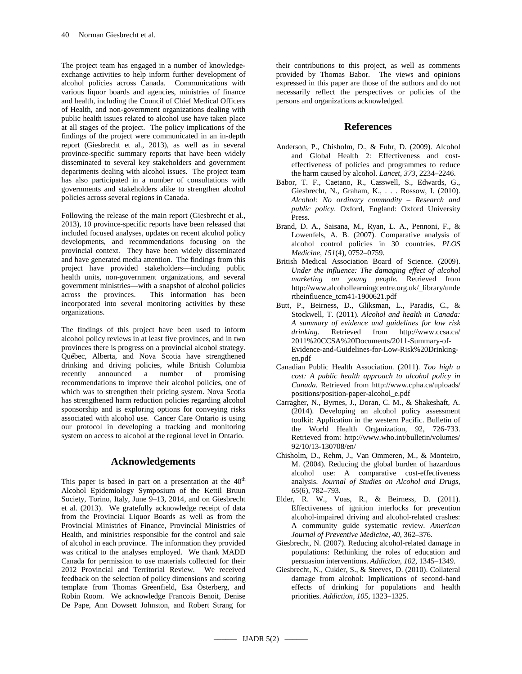The project team has engaged in a number of knowledgeexchange activities to help inform further development of alcohol policies across Canada. Communications with various liquor boards and agencies, ministries of finance and health, including the Council of Chief Medical Officers of Health, and non-government organizations dealing with public health issues related to alcohol use have taken place at all stages of the project. The policy implications of the findings of the project were communicated in an in-depth report (Giesbrecht et al., 2013), as well as in several province-specific summary reports that have been widely disseminated to several key stakeholders and government departments dealing with alcohol issues. The project team has also participated in a number of consultations with governments and stakeholders alike to strengthen alcohol policies across several regions in Canada.

Following the release of the main report (Giesbrecht et al., 2013), 10 province-specific reports have been released that included focused analyses, updates on recent alcohol policy developments, and recommendations focusing on the provincial context. They have been widely disseminated and have generated media attention. The findings from this project have provided stakeholders—including public health units, non-government organizations, and several government ministries—with a snapshot of alcohol policies across the provinces. This information has been incorporated into several monitoring activities by these organizations.

The findings of this project have been used to inform alcohol policy reviews in at least five provinces, and in two provinces there is progress on a provincial alcohol strategy. Québec, Alberta, and Nova Scotia have strengthened drinking and driving policies, while British Columbia<br>recently announced a number of promising recently announced a number of promising recommendations to improve their alcohol policies, one of which was to strengthen their pricing system. Nova Scotia has strengthened harm reduction policies regarding alcohol sponsorship and is exploring options for conveying risks associated with alcohol use. Cancer Care Ontario is using our protocol in developing a tracking and monitoring system on access to alcohol at the regional level in Ontario.

# **Acknowledgements**

This paper is based in part on a presentation at the  $40<sup>th</sup>$ Alcohol Epidemiology Symposium of the Kettil Bruun Society, Torino, Italy, June 9–13, 2014, and on Giesbrecht et al. (2013). We gratefully acknowledge receipt of data from the Provincial Liquor Boards as well as from the Provincial Ministries of Finance, Provincial Ministries of Health, and ministries responsible for the control and sale of alcohol in each province. The information they provided was critical to the analyses employed. We thank MADD Canada for permission to use materials collected for their 2012 Provincial and Territorial Review. We received feedback on the selection of policy dimensions and scoring template from Thomas Greenfield, Esa Österberg, and Robin Room. We acknowledge Francois Benoit, Denise De Pape, Ann Dowsett Johnston, and Robert Strang for

their contributions to this project, as well as comments provided by Thomas Babor. The views and opinions expressed in this paper are those of the authors and do not necessarily reflect the perspectives or policies of the persons and organizations acknowledged.

# **References**

- Anderson, P., Chisholm, D., & Fuhr, D. (2009). Alcohol and Global Health 2: Effectiveness and costeffectiveness of policies and programmes to reduce the harm caused by alcohol. *Lancet, 373*, 2234–2246.
- Babor, T. F., Caetano, R., Casswell, S., Edwards, G., Giesbrecht, N., Graham, K., . . . Rossow, I. (2010). *Alcohol: No ordinary commodity – Research and public policy*. Oxford, England: Oxford University Press.
- Brand, D. A., Saisana, M., Ryan, L. A., Pennoni, F., & Lowenfels, A. B. (2007). Comparative analysis of alcohol control policies in 30 countries. *PLOS Medicine, 151*(4), 0752–0759.
- British Medical Association Board of Science. (2009). *Under the influence: The damaging effect of alcohol marketing on young people.* Retrieved from http://www.alcohollearningcentre.org.uk/\_library/unde rtheinfluence\_tcm41-1900621.pdf
- Butt, P., Beirness, D., Gliksman, L., Paradis, C., & Stockwell, T. (2011). *Alcohol and health in Canada: A summary of evidence and guidelines for low risk drinking.* Retrieved from http://www.ccsa.ca/ 2011%20CCSA%20Documents/2011-Summary-of-Evidence-and-Guidelines-for-Low-Risk%20Drinkingen.pdf
- Canadian Public Health Association. (2011). *Too high a cost: A public health approach to alcohol policy in Canada.* Retrieved from http://www.cpha.ca/uploads/ positions/position-paper-alcohol\_e.pdf
- Carragher, N., Byrnes, J., Doran, C. M., & Shakeshaft, A. (2014). Developing an alcohol policy assessment toolkit: Application in the western Pacific. Bulletin of the World Health Organization, 92, 726-733. Retrieved from: http://www.who.int/bulletin/volumes/ 92/10/13-130708/en/
- Chisholm, D., Rehm, J., Van Ommeren, M., & Monteiro, M. (2004). Reducing the global burden of hazardous alcohol use: A comparative cost-effectiveness analysis. *Journal of Studies on Alcohol and Drugs, 65*(6), 782–793.
- Elder, R. W., Voas, R., & Beirness, D. (2011). Effectiveness of ignition interlocks for prevention alcohol-impaired driving and alcohol-related crashes: A community guide systematic review. *American Journal of Preventive Medicine, 40*, 362–376.
- Giesbrecht, N. (2007). Reducing alcohol-related damage in populations: Rethinking the roles of education and persuasion interventions. *Addiction, 102*, 1345–1349.
- Giesbrecht, N., Cukier, S., & Steeves, D. (2010). Collateral damage from alcohol: Implications of second-hand effects of drinking for populations and health priorities. *Addiction, 105*, 1323–1325.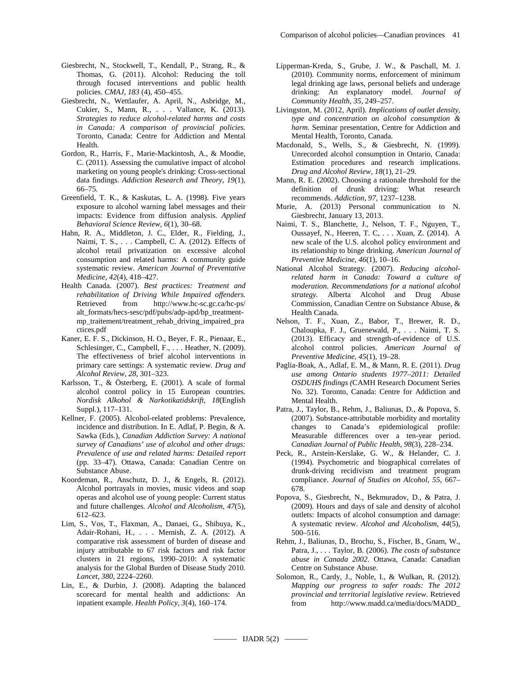- Giesbrecht, N., Stockwell, T., Kendall, P., Strang, R., & Thomas, G. (2011). Alcohol: Reducing the toll through focused interventions and public health policies. *CMAJ, 183* (4), 450–455.
- Giesbrecht, N., Wettlaufer, A. April, N., Asbridge, M., Cukier, S., Mann, R., . . . Vallance, K. (2013). *Strategies to reduce alcohol-related harms and costs in Canada: A comparison of provincial policies.*  Toronto, Canada: Centre for Addiction and Mental Health.
- Gordon, R., Harris, F., Marie-Mackintosh, A., & Moodie, C. (2011). Assessing the cumulative impact of alcohol marketing on young people's drinking: Cross-sectional data findings. *Addiction Research and Theory, 19*(1), 66–75.
- Greenfield, T. K., & Kaskutas, L. A. (1998). Five years exposure to alcohol warning label messages and their impacts: Evidence from diffusion analysis. *Applied Behavioral Science Review, 6*(1), 30–68.
- Hahn, R. A., Middleton, J. C., Elder, R., Fielding, J., Naimi, T. S., . . . Campbell, C. A. (2012). Effects of alcohol retail privatization on excessive alcohol consumption and related harms: A community guide systematic review. *American Journal of Preventative Medicine, 42*(4), 418–427.
- Health Canada. (2007). *Best practices: Treatment and rehabilitation of Driving While Impaired offenders.*  Retrieved from http://www.hc-sc.gc.ca/hc-ps/ alt\_formats/hecs-sesc/pdf/pubs/adp-apd/bp\_treatmentmp\_traitement/treatment\_rehab\_driving\_impaired\_pra ctices.pdf
- Kaner, E. F. S., Dickinson, H. O., Beyer, F. R., Pienaar, E., Schlesinger, C., Campbell, F., . . . Heather, N. (2009). The effectiveness of brief alcohol interventions in primary care settings: A systematic review. *Drug and Alcohol Review, 28*, 301–323.
- Karlsson, T., & Österberg, E. (2001). A scale of formal alcohol control policy in 15 European countries. *Nordisk Alkohol & Narkotikatidskrift, 18*(English Suppl.), 117–131.
- Kellner, F. (2005). Alcohol-related problems: Prevalence, incidence and distribution. In E. Adlaf, P. Begin, & A. Sawka (Eds.), *Canadian Addiction Survey: A national survey of Canadians' use of alcohol and other drugs: Prevalence of use and related harms: Detailed report*  (pp. 33–47). Ottawa, Canada: Canadian Centre on Substance Abuse.
- Koordeman, R., Anschutz, D. J., & Engels, R. (2012). Alcohol portrayals in movies, music videos and soap operas and alcohol use of young people: Current status and future challenges. *Alcohol and Alcoholism, 47*(5), 612–623.
- Lim, S., Vos, T., Flaxman, A., Danaei, G., Shibuya, K., Adair-Rohani, H., . . . Memish, Z. A. (2012). A comparative risk assessment of burden of disease and injury attributable to 67 risk factors and risk factor clusters in 21 regions, 1990–2010: A systematic analysis for the Global Burden of Disease Study 2010. *Lancet, 380*, 2224–2260.
- Lin, E., & Durbin, J. (2008). Adapting the balanced scorecard for mental health and addictions: An inpatient example. *Health Policy, 3*(4), 160–174.
- Lipperman-Kreda, S., Grube, J. W., & Paschall, M. J. (2010). Community norms, enforcement of minimum legal drinking age laws, personal beliefs and underage drinking: An explanatory model. *Journal of Community Health, 35*, 249–257.
- Livingston, M. (2012, April). *Implications of outlet density, type and concentration on alcohol consumption & harm.* Seminar presentation, Centre for Addiction and Mental Health, Toronto, Canada.
- Macdonald, S., Wells, S., & Giesbrecht, N. (1999). Unrecorded alcohol consumption in Ontario, Canada: Estimation procedures and research implications. *Drug and Alcohol Review, 18*(1), 21–29.
- Mann, R. E. (2002). Choosing a rationale threshold for the definition of drunk driving: What research recommends. *Addiction, 97*, 1237–1238.
- Murie, A. (2013) Personal communication to N. Giesbrecht, January 13, 2013.
- Naimi, T. S., Blanchette, J., Nelson, T. F., Nguyen, T., Oussayef, N., Heeren, T. C, . . . Xuan, Z. (2014). A new scale of the U.S. alcohol policy environment and its relationship to binge drinking. *American Journal of Preventive Medicine, 46*(1), 10–16.
- National Alcohol Strategy. (2007). *Reducing alcoholrelated harm in Canada: Toward a culture of moderation. Recommendations for a national alcohol strategy.* Alberta Alcohol and Drug Abuse Commission, Canadian Centre on Substance Abuse, & Health Canada.
- Nelson, T. F., Xuan, Z., Babor, T., Brewer, R. D., Chaloupka, F. J., Gruenewald, P., . . . Naimi, T. S. (2013). Efficacy and strength-of-evidence of U.S. alcohol control policies. *American Journal of Preventive Medicine, 45*(1), 19–28.
- Paglia-Boak, A., Adlaf, E. M., & Mann, R. E. (2011). *Drug use among Ontario students 1977–2011: Detailed OSDUHS findings (*CAMH Research Document Series No. 32). Toronto, Canada: Centre for Addiction and Mental Health.
- Patra, J., Taylor, B., Rehm, J., Baliunas, D., & Popova, S. (2007). Substance-attributable morbidity and mortality changes to Canada's epidemiological profile: Measurable differences over a ten-year period. *Canadian Journal of Public Health*, *98*(3), 228–234.
- Peck, R., Arstein-Kerslake, G. W., & Helander, C. J. (1994). Psychometric and biographical correlates of drunk-driving recidivism and treatment program compliance. *Journal of Studies on Alcohol, 55*, 667– 678.
- Popova, S., Giesbrecht, N., Bekmuradov, D., & Patra, J. (2009). Hours and days of sale and density of alcohol outlets: Impacts of alcohol consumption and damage: A systematic review. *Alcohol and Alcoholism, 44*(5), 500–516.
- Rehm, J., Baliunas, D., Brochu, S., Fischer, B., Gnam, W., Patra, J., . . . Taylor, B. (2006). *The costs of substance abuse in Canada 2002.* Ottawa, Canada: Canadian Centre on Substance Abuse.
- Solomon, R., Cardy, J., Noble, I., & Wulkan, R. (2012). *Mapping our progress to safer roads: The 2012 provincial and territorial legislative review.* Retrieved from http://www.madd.ca/media/docs/MADD\_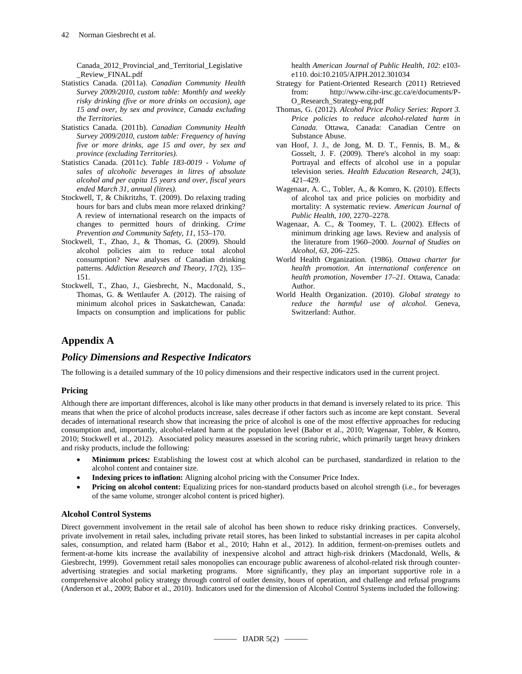Canada\_2012\_Provincial\_and\_Territorial\_Legislative \_Review\_FINAL.pdf

- Statistics Canada. (2011a). *Canadian Community Health Survey 2009/2010, custom table: Monthly and weekly risky drinking (five or more drinks on occasion), age 15 and over, by sex and province, Canada excluding the Territories.*
- Statistics Canada. (2011b). *Canadian Community Health Survey 2009/2010, custom table: Frequency of having five or more drinks, age 15 and over, by sex and province (excluding Territories).*
- Statistics Canada. (2011c). *Table 183-0019 - Volume of sales of alcoholic beverages in litres of absolute alcohol and per capita 15 years and over, fiscal years ended March 31, annual (litres).*
- Stockwell, T, & Chikritzhs, T. (2009). Do relaxing trading hours for bars and clubs mean more relaxed drinking? A review of international research on the impacts of changes to permitted hours of drinking. *Crime Prevention and Community Safety, 11*, 153–170.
- Stockwell, T., Zhao, J., & Thomas, G. (2009). Should alcohol policies aim to reduce total alcohol consumption? New analyses of Canadian drinking patterns. *Addiction Research and Theory, 17*(2), 135– 151.
- Stockwell, T., Zhao, J., Giesbrecht, N., Macdonald, S., Thomas, G. & Wettlaufer A. (2012). The raising of minimum alcohol prices in Saskatchewan, Canada: Impacts on consumption and implications for public

health *American Journal of Public Health, 102*: e103 e110. doi:10.2105/AJPH.2012.301034

- Strategy for Patient-Oriented Research (2011) Retrieved from: http://www.cihr-irsc.gc.ca/e/documents/P-O\_Research\_Strategy-eng.pdf
- Thomas, G. (2012). *Alcohol Price Policy Series: Report 3. Price policies to reduce alcohol-related harm in Canada.* Ottawa, Canada: Canadian Centre on Substance Abuse.
- van Hoof, J. J., de Jong, M. D. T., Fennis, B. M., & Gosselt, J. F. (2009). There's alcohol in my soap: Portrayal and effects of alcohol use in a popular television series. *Health Education Research, 24*(3), 421–429.
- Wagenaar, A. C., Tobler, A., & Komro, K. (2010). Effects of alcohol tax and price policies on morbidity and mortality: A systematic review. *American Journal of Public Health, 100*, 2270–2278.
- Wagenaar, A. C., & Toomey, T. L. (2002). Effects of minimum drinking age laws. Review and analysis of the literature from 1960–2000. *Journal of Studies on Alcohol, 63,* 206–225.
- World Health Organization. (1986). *Ottawa charter for health promotion. An international conference on health promotion, November 17–21.* Ottawa, Canada: Author.
- World Health Organization. (2010). *Global strategy to reduce the harmful use of alcohol.* Geneva, Switzerland: Author.

# **Appendix A**

# *Policy Dimensions and Respective Indicators*

The following is a detailed summary of the 10 policy dimensions and their respective indicators used in the current project.

# **Pricing**

Although there are important differences, alcohol is like many other products in that demand is inversely related to its price. This means that when the price of alcohol products increase, sales decrease if other factors such as income are kept constant. Several decades of international research show that increasing the price of alcohol is one of the most effective approaches for reducing consumption and, importantly, alcohol-related harm at the population level (Babor et al., 2010; Wagenaar, Tobler, & Komro, 2010; Stockwell et al., 2012). Associated policy measures assessed in the scoring rubric, which primarily target heavy drinkers and risky products, include the following:

- **Minimum prices:** Establishing the lowest cost at which alcohol can be purchased, standardized in relation to the alcohol content and container size.
- **Indexing prices to inflation:** Aligning alcohol pricing with the Consumer Price Index.
- **Pricing on alcohol content:** Equalizing prices for non-standard products based on alcohol strength (i.e., for beverages of the same volume, stronger alcohol content is priced higher).

# **Alcohol Control Systems**

Direct government involvement in the retail sale of alcohol has been shown to reduce risky drinking practices. Conversely, private involvement in retail sales, including private retail stores, has been linked to substantial increases in per capita alcohol sales, consumption, and related harm (Babor et al., 2010; Hahn et al., 2012). In addition, ferment-on-premises outlets and ferment-at-home kits increase the availability of inexpensive alcohol and attract high-risk drinkers (Macdonald, Wells, & Giesbrecht, 1999). Government retail sales monopolies can encourage public awareness of alcohol-related risk through counteradvertising strategies and social marketing programs. More significantly, they play an important supportive role in a comprehensive alcohol policy strategy through control of outlet density, hours of operation, and challenge and refusal programs (Anderson et al., 2009; Babor et al., 2010). Indicators used for the dimension of Alcohol Control Systems included the following: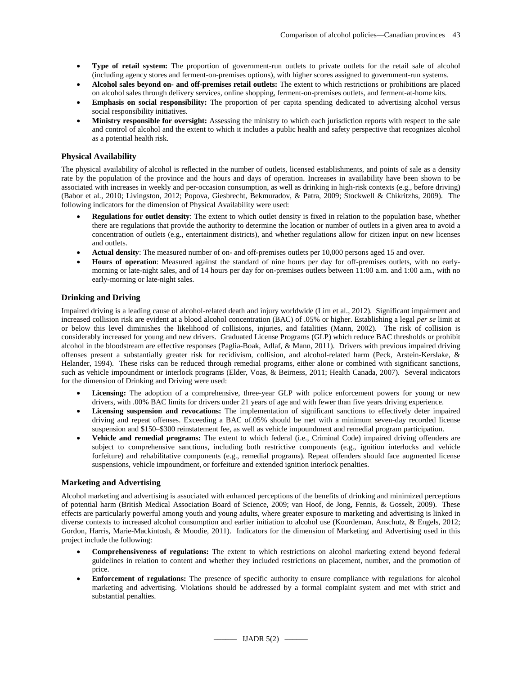- **Type of retail system:** The proportion of government-run outlets to private outlets for the retail sale of alcohol (including agency stores and ferment-on-premises options), with higher scores assigned to government-run systems.
- **Alcohol sales beyond on- and off-premises retail outlets:** The extent to which restrictions or prohibitions are placed on alcohol sales through delivery services, online shopping, ferment-on-premises outlets, and ferment-at-home kits.
- **Emphasis on social responsibility:** The proportion of per capita spending dedicated to advertising alcohol versus social responsibility initiatives.
- **Ministry responsible for oversight:** Assessing the ministry to which each jurisdiction reports with respect to the sale and control of alcohol and the extent to which it includes a public health and safety perspective that recognizes alcohol as a potential health risk.

# **Physical Availability**

The physical availability of alcohol is reflected in the number of outlets, licensed establishments, and points of sale as a density rate by the population of the province and the hours and days of operation. Increases in availability have been shown to be associated with increases in weekly and per-occasion consumption, as well as drinking in high-risk contexts (e.g., before driving) (Babor et al., 2010; Livingston, 2012; Popova, Giesbrecht, Bekmuradov, & Patra, 2009; Stockwell & Chikritzhs, 2009). The following indicators for the dimension of Physical Availability were used:

- **Regulations for outlet density**: The extent to which outlet density is fixed in relation to the population base, whether there are regulations that provide the authority to determine the location or number of outlets in a given area to avoid a concentration of outlets (e.g., entertainment districts), and whether regulations allow for citizen input on new licenses and outlets.
- **Actual density**: The measured number of on- and off-premises outlets per 10,000 persons aged 15 and over.
- **Hours of operation**: Measured against the standard of nine hours per day for off-premises outlets, with no earlymorning or late-night sales, and of 14 hours per day for on-premises outlets between 11:00 a.m. and 1:00 a.m., with no early-morning or late-night sales.

# **Drinking and Driving**

Impaired driving is a leading cause of alcohol-related death and injury worldwide (Lim et al., 2012). Significant impairment and increased collision risk are evident at a blood alcohol concentration (BAC) of .05% or higher. Establishing a legal *per se* limit at or below this level diminishes the likelihood of collisions, injuries, and fatalities (Mann, 2002). The risk of collision is considerably increased for young and new drivers. Graduated License Programs (GLP) which reduce BAC thresholds or prohibit alcohol in the bloodstream are effective responses (Paglia-Boak, Adlaf, & Mann, 2011). Drivers with previous impaired driving offenses present a substantially greater risk for recidivism, collision, and alcohol-related harm (Peck, Arstein-Kerslake, & Helander, 1994). These risks can be reduced through remedial programs, either alone or combined with significant sanctions, such as vehicle impoundment or interlock programs (Elder, Voas, & Beirness, 2011; Health Canada, 2007). Several indicators for the dimension of Drinking and Driving were used:

- Licensing: The adoption of a comprehensive, three-year GLP with police enforcement powers for young or new drivers, with .00% BAC limits for drivers under 21 years of age and with fewer than five years driving experience.
- **Licensing suspension and revocations:** The implementation of significant sanctions to effectively deter impaired driving and repeat offenses. Exceeding a BAC of.05% should be met with a minimum seven-day recorded license suspension and \$150–\$300 reinstatement fee, as well as vehicle impoundment and remedial program participation.
- **Vehicle and remedial programs:** The extent to which federal (i.e., Criminal Code) impaired driving offenders are subject to comprehensive sanctions, including both restrictive components (e.g., ignition interlocks and vehicle forfeiture) and rehabilitative components (e.g., remedial programs). Repeat offenders should face augmented license suspensions, vehicle impoundment, or forfeiture and extended ignition interlock penalties.

# **Marketing and Advertising**

Alcohol marketing and advertising is associated with enhanced perceptions of the benefits of drinking and minimized perceptions of potential harm (British Medical Association Board of Science, 2009; van Hoof, de Jong, Fennis, & Gosselt, 2009). These effects are particularly powerful among youth and young adults, where greater exposure to marketing and advertising is linked in diverse contexts to increased alcohol consumption and earlier initiation to alcohol use (Koordeman, Anschutz, & Engels, 2012; Gordon, Harris, Marie-Mackintosh, & Moodie, 2011). Indicators for the dimension of Marketing and Advertising used in this project include the following:

- **Comprehensiveness of regulations:** The extent to which restrictions on alcohol marketing extend beyond federal guidelines in relation to content and whether they included restrictions on placement, number, and the promotion of price.
- **Enforcement of regulations:** The presence of specific authority to ensure compliance with regulations for alcohol marketing and advertising. Violations should be addressed by a formal complaint system and met with strict and substantial penalties.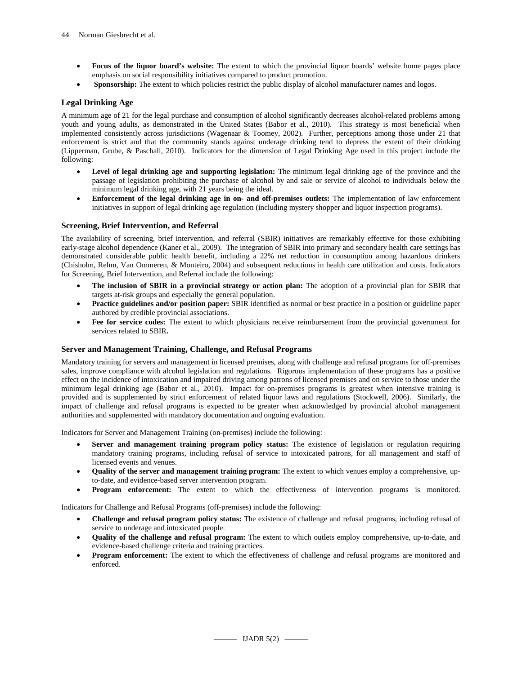- **Focus of the liquor board's website:** The extent to which the provincial liquor boards' website home pages place emphasis on social responsibility initiatives compared to product promotion.
- **Sponsorship:** The extent to which policies restrict the public display of alcohol manufacturer names and logos.

# **Legal Drinking Age**

A minimum age of 21 for the legal purchase and consumption of alcohol significantly decreases alcohol-related problems among youth and young adults, as demonstrated in the United States (Babor et al., 2010). This strategy is most beneficial when implemented consistently across jurisdictions (Wagenaar & Toomey, 2002). Further, perceptions among those under 21 that enforcement is strict and that the community stands against underage drinking tend to depress the extent of their drinking (Lipperman, Grube, & Paschall, 2010). Indicators for the dimension of Legal Drinking Age used in this project include the following:

- **Level of legal drinking age and supporting legislation:** The minimum legal drinking age of the province and the passage of legislation prohibiting the purchase of alcohol by and sale or service of alcohol to individuals below the minimum legal drinking age, with 21 years being the ideal.
- **Enforcement of the legal drinking age in on- and off-premises outlets:** The implementation of law enforcement initiatives in support of legal drinking age regulation (including mystery shopper and liquor inspection programs).

# **Screening, Brief Intervention, and Referral**

The availability of screening, brief intervention, and referral (SBIR) initiatives are remarkably effective for those exhibiting early-stage alcohol dependence (Kaner et al., 2009). The integration of SBIR into primary and secondary health care settings has demonstrated considerable public health benefit, including a 22% net reduction in consumption among hazardous drinkers (Chisholm, Rehm, Van Ommeren, & Monteiro, 2004) and subsequent reductions in health care utilization and costs. Indicators for Screening, Brief Intervention, and Referral include the following:

- **The inclusion of SBIR in a provincial strategy or action plan:** The adoption of a provincial plan for SBIR that targets at-risk groups and especially the general population.
- **Practice guidelines and/or position paper:** SBIR identified as normal or best practice in a position or guideline paper authored by credible provincial associations.
- **Fee for service codes:** The extent to which physicians receive reimbursement from the provincial government for services related to SBIR**.**

# **Server and Management Training, Challenge, and Refusal Programs**

Mandatory training for servers and management in licensed premises, along with challenge and refusal programs for off-premises sales, improve compliance with alcohol legislation and regulations. Rigorous implementation of these programs has a positive effect on the incidence of intoxication and impaired driving among patrons of licensed premises and on service to those under the minimum legal drinking age (Babor et al., 2010). Impact for on-premises programs is greatest when intensive training is provided and is supplemented by strict enforcement of related liquor laws and regulations (Stockwell, 2006). Similarly, the impact of challenge and refusal programs is expected to be greater when acknowledged by provincial alcohol management authorities and supplemented with mandatory documentation and ongoing evaluation.

Indicators for Server and Management Training (on-premises) include the following:

- **Server and management training program policy status:** The existence of legislation or regulation requiring mandatory training programs, including refusal of service to intoxicated patrons, for all management and staff of licensed events and venues.
- **Quality of the server and management training program:** The extent to which venues employ a comprehensive, upto-date, and evidence-based server intervention program.
- **Program enforcement:** The extent to which the effectiveness of intervention programs is monitored.

Indicators for Challenge and Refusal Programs (off-premises) include the following:

- **Challenge and refusal program policy status:** The existence of challenge and refusal programs, including refusal of service to underage and intoxicated people.
- **Quality of the challenge and refusal program:** The extent to which outlets employ comprehensive, up-to-date, and evidence-based challenge criteria and training practices.
- **Program enforcement:** The extent to which the effectiveness of challenge and refusal programs are monitored and enforced.